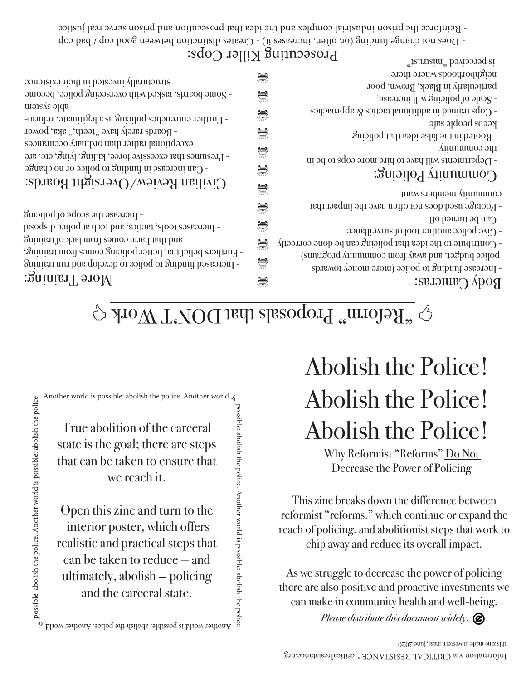Open this zine and turn to the interior poster, which offers realistic and practical steps that can be taken to reduce — and ultimately, abolish — policing and the carceral state.

True abolition of the carceral state is the goal; there are steps that can be taken to ensure that we reach it.

Another world is possible: abolish the police. Another world  $\zeta_{\rm s}$ 

structurally invested in their existence

# Abolish the Police! Why Reformist "Reforms" Do Not Abolish the Police! Abolish the Police!

neighborhoods where there is perceived "mistrust"

Decrease the Power of Policing

This zine breaks down the difference between reformist "reforms," which continue or expand the reach of policing, and abolitionist steps that work to chip away and reduce its overall impact.

As we struggle to decrease the power of policing there are also positive and proactive investments we can make in community health and well-being.

# $\Omega_{\text{NLOM}}^{\text{max}}$  Proposals that DON'T Work

| annatziya niadt ni hatzavni vllenmourtz                     | クロトバ | particularly in Black, Brown, poor                           |
|-------------------------------------------------------------|------|--------------------------------------------------------------|
| - Some boards, tasked with overseeing police, become        | 鸞    | $\sim$ Scale of policing will increase,                      |
| able system                                                 |      | - Cops trained in additional tactics $\&$ approaches         |
| - Further entrenches policing as a legitimate, reform-      | 黨    | keeps people safe                                            |
| - Boards rarely have "teeth," aka, power                    | 黨    | - Rooted in the false idea that policing                     |
| exceptional rather than ordinary occurances                 |      | the community                                                |
| - Presumes that excessive force, killing, lying, etc. are   | 黨    | - Departments will have to hire more cops to be in           |
| - Can increase in funding to police or no change            | 鸞    | Community Policing:                                          |
| Civilian Review/Oversight Boards:                           | 鸞    |                                                              |
|                                                             |      | community members want                                       |
|                                                             | 黨    | - Footage used does not often have the impact that           |
| - Increase the scope of policing                            |      | - Can be turned off                                          |
| - Increases tools, tactics, and tech at police disposal     | 黨    | - Give police another tool of surveillance                   |
| and that harmon comes from lack of training                 | 黨    | - Contribute to the idea that policing can be done correctly |
| - Furthers belief that better policing comes from training, |      | police budget, and away from community programs)             |
| - Increased funding to police to develop and run training   | 黨    | - Increase funding to police (more money towards             |
| More Training:                                              | ۳    | Body Cameras:                                                |
|                                                             |      |                                                              |

### $\mathop{\rm F}_\mathrm{3}$ iosecuting Killer Cops:

<u>e</u>

- Does not change funding (or, often, increases it) - Creates distinction between good cop / bad cop

- Reinforce the prison industrial complex and the idea that prosecution and prison serve real justice

*Please distribute this document widely.*